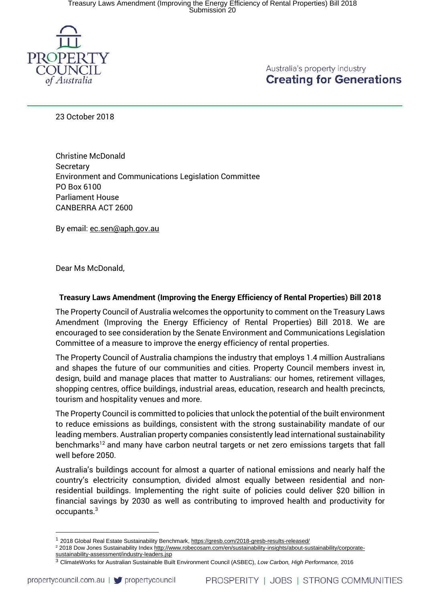

Australia's property industry **Creating for Generations** 

23 October 2018

Christine McDonald **Secretary** Environment and Communications Legislation Committee PO Box 6100 Parliament House CANBERRA ACT 2600

By email: ec.sen@aph.gov.au

Dear Ms McDonald,

 $\overline{a}$ 

## **Treasury Laws Amendment (Improving the Energy Efficiency of Rental Properties) Bill 2018**

The Property Council of Australia welcomes the opportunity to comment on the Treasury Laws Amendment (Improving the Energy Efficiency of Rental Properties) Bill 2018. We are encouraged to see consideration by the Senate Environment and Communications Legislation Committee of a measure to improve the energy efficiency of rental properties.

The Property Council of Australia champions the industry that employs 1.4 million Australians and shapes the future of our communities and cities. Property Council members invest in, design, build and manage places that matter to Australians: our homes, retirement villages, shopping centres, office buildings, industrial areas, education, research and health precincts, tourism and hospitality venues and more.

The Property Council is committed to policies that unlock the potential of the built environment to reduce emissions as buildings, consistent with the strong sustainability mandate of our leading members. Australian property companies consistently lead international sustainability benchmarks<sup>12</sup> and many have carbon neutral targets or net zero emissions targets that fall well before 2050.

Australia's buildings account for almost a quarter of national emissions and nearly half the country's electricity consumption, divided almost equally between residential and nonresidential buildings. Implementing the right suite of policies could deliver \$20 billion in financial savings by 2030 as well as contributing to improved health and productivity for occupants.<sup>3</sup>

<sup>&</sup>lt;sup>1</sup> 2018 Global Real Estate Sustainability Benchmark, https://gresb.com/2018-gresb-results-released/

<sup>&</sup>lt;sup>2</sup> 2018 Dow Jones Sustainability Index http://www.robecosam.com/en/sustainability-insights/about-sustainability/corporatesustainability-assessment/industry-leaders.jsp

<sup>3</sup> ClimateWorks for Australian Sustainable Built Environment Council (ASBEC), *Low Carbon, High Performance,* 2016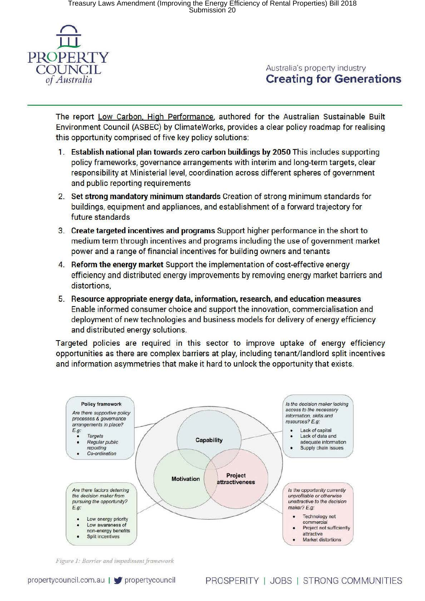

Australia's property industry **Creating for Generations** 

The report Low Carbon, High Performance, authored for the Australian Sustainable Built Environment Council (ASBEC) by ClimateWorks, provides a clear policy roadmap for realising this opportunity comprised of five key policy solutions:

- 1. **Establish national plan towards zero carbon buildings by 2050** This includes supporting policy frameworks, governance arrangements with interim and long-term targets, clear responsibility at Ministerial level, coordination across different spheres of government and public reporting requirements
- 2. **Set strong mandatory minimum standards** Creation of strong minimum standards for buildings, equipment and appliances, and establishment of a forward trajectory for future standards
- 3. **Create targeted incentives and programs** Support higher performance in the short to medium term through incentives and programs including the use of government market power and a range of financial incentives for building owners and tenants
- 4. **Reform the energy market** Support the implementation of cost-effective energy efficiency and distributed energy improvements by removing energy market barriers and distortions,
- 5. **Resource appropriate energy data, information, research, and education measures**  Enable informed consumer choice and support the innovation, commercialisation and deployment of new technologies and business models for delivery of energy efficiency and distributed energy solutions.

Targeted policies are required in this sector to improve uptake of energy efficiency opportunities as there are complex barriers at play, including tenant/landlord split incentives and information asymmetries that make it hard to unlock the opportunity that exists.



*Figure 1: Barrier and impediment framework*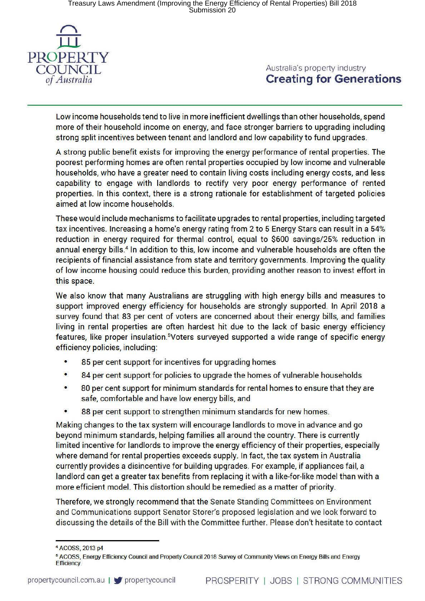

Australia's property industry **Creating for Generations** 

Low income households tend to live in more inefficient dwellings than other households, spend more of their household income on energy, and face stronger barriers to upgrading including strong split incentives between tenant and landlord and low capability to fund upgrades.

A strong public benefit exists for improving the energy performance of rental properties. The poorest performing homes are often rental properties occupied by low income and vulnerable households, who have a greater need to contain living costs including energy costs, and less capability to engage with landlords to rectify very poor energy performance of rented properties. In this context, there is a strong rationale for establishment of targeted policies aimed at low income households.

These would include mechanisms to facilitate upgrades to rental properties, including targeted tax incentives. Increasing a home's energy rating from 2 to 5 Energy Stars can result in a 54% reduction in energy required for thermal control, equal to \$600 savings/25% reduction in annual energy bills. 4 In addition to this, low income and vulnerable households are often the recipients of financial assistance from state and territory governments. Improving the quality of low income housing could reduce this burden, providing another reason to invest effort in this space.

We also know that many Australians are struggling with high energy bills and measures to support improved energy efficiency for households are strongly supported. In April 2018 a survey found that 83 per cent of voters are concerned about their energy bills, and families living in rental properties are often hardest hit due to the lack of basic energy efficiency features, like proper insulation.5Voters surveyed supported a wide range of specific energy efficiency policies, including:

- 85 per cent support for incentives for upgrading homes
- 84 per cent support for policies to upgrade the homes of vulnerable households
- 80 per cent support for minimum standards for rental homes to ensure that they are safe, comfortable and have low energy bills, and
- 88 per cent support to strengthen minimum standards for new homes.

Making changes to the tax system will encourage landlords to move in advance and go beyond minimum standards, helping families all around the country. There is currently limited incentive for landlords to improve the energy efficiency of their properties, especially where demand for rental properties exceeds supply. In fact, the tax system in Australia currently provides a disincentive for building upgrades. For example, if appliances fail, a landlord can get a greater tax benefits from replacing it with a like-for-like model than with a more efficient model. This distortion should be remedied as a matter of priority.

Therefore, we strongly recommend that the Senate Standing Committees on Environment and Communications support Senator Storer's proposed legislation and we look forward to discussing the details of the Bill with the Committee further. Please don't hesitate to contact

<sup>•</sup> ACOSS, 2013 p4

<sup>5</sup> ACOSS, Energy Efficiency Council and Property Council 2018 Survey of Community Views on Energy Bills and Energy Efficiency.